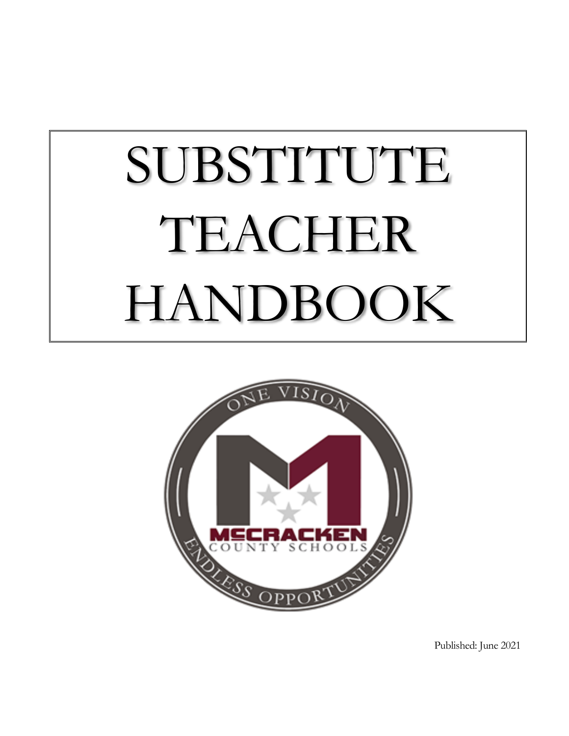# SUBSTITUTE TEACHER HANDBOOK



Published: June 2021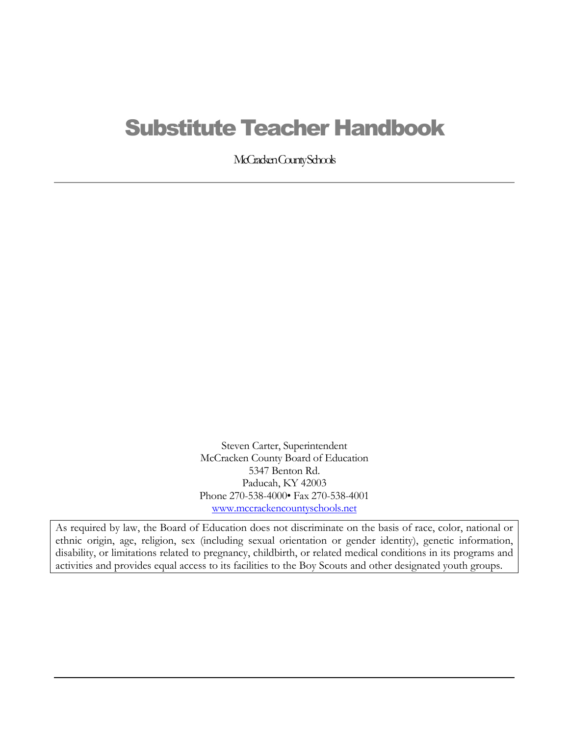# Substitute Teacher Handbook

McCracken County Schools

Steven Carter, Superintendent McCracken County Board of Education 5347 Benton Rd. Paducah, KY 42003 Phone 270-538-4000• Fax 270-538-4001 [www.mccrackencountyschools.net](http://www.mccrackencountyschools.net/)

As required by law, the Board of Education does not discriminate on the basis of race, color, national or ethnic origin, age, religion, sex (including sexual orientation or gender identity), genetic information, disability, or limitations related to pregnancy, childbirth, or related medical conditions in its programs and activities and provides equal access to its facilities to the Boy Scouts and other designated youth groups.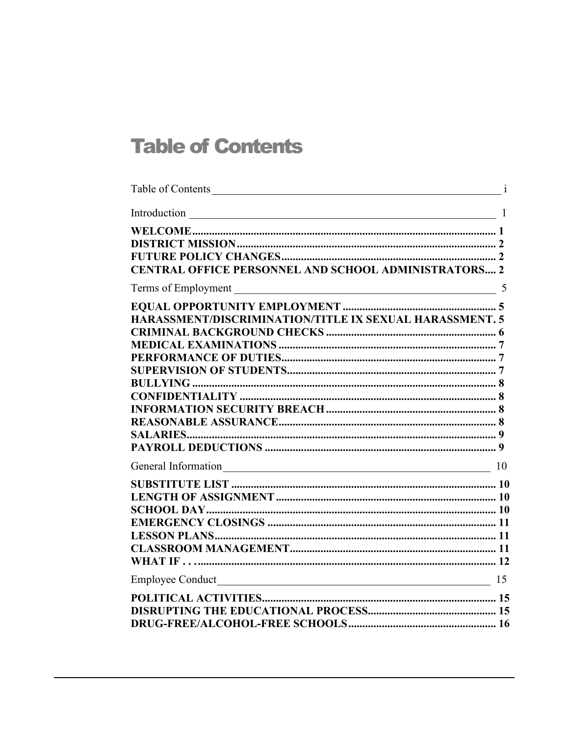# <span id="page-2-0"></span>**Table of Contents**

| Table of Contents                                              |  |
|----------------------------------------------------------------|--|
| Introduction $\frac{1}{1}$                                     |  |
| <b>CENTRAL OFFICE PERSONNEL AND SCHOOL ADMINISTRATORS 2</b>    |  |
|                                                                |  |
| <b>HARASSMENT/DISCRIMINATION/TITLE IX SEXUAL HARASSMENT. 5</b> |  |
|                                                                |  |
|                                                                |  |
|                                                                |  |
|                                                                |  |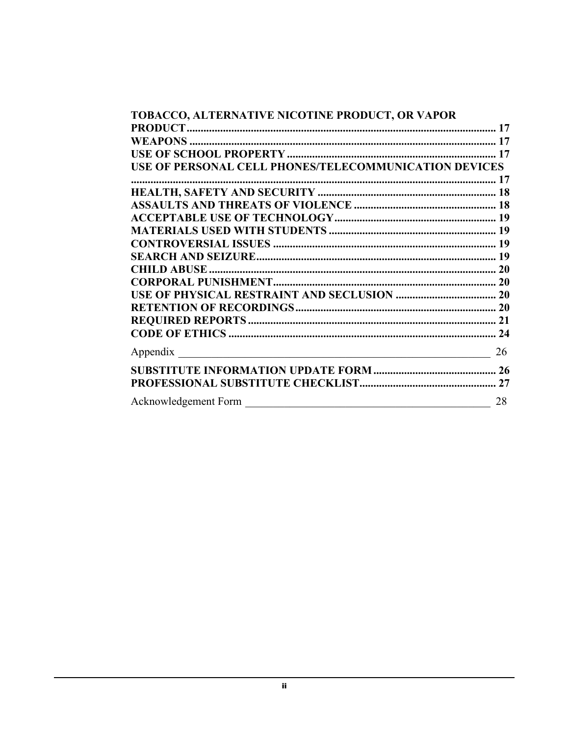| TOBACCO, ALTERNATIVE NICOTINE PRODUCT, OR VAPOR       |    |
|-------------------------------------------------------|----|
|                                                       |    |
|                                                       |    |
|                                                       |    |
| USE OF PERSONAL CELL PHONES/TELECOMMUNICATION DEVICES |    |
|                                                       |    |
|                                                       |    |
|                                                       |    |
|                                                       |    |
|                                                       |    |
|                                                       |    |
|                                                       |    |
|                                                       |    |
|                                                       |    |
|                                                       |    |
|                                                       |    |
|                                                       |    |
|                                                       |    |
| Appendix                                              | 26 |
|                                                       |    |
|                                                       |    |
|                                                       | 28 |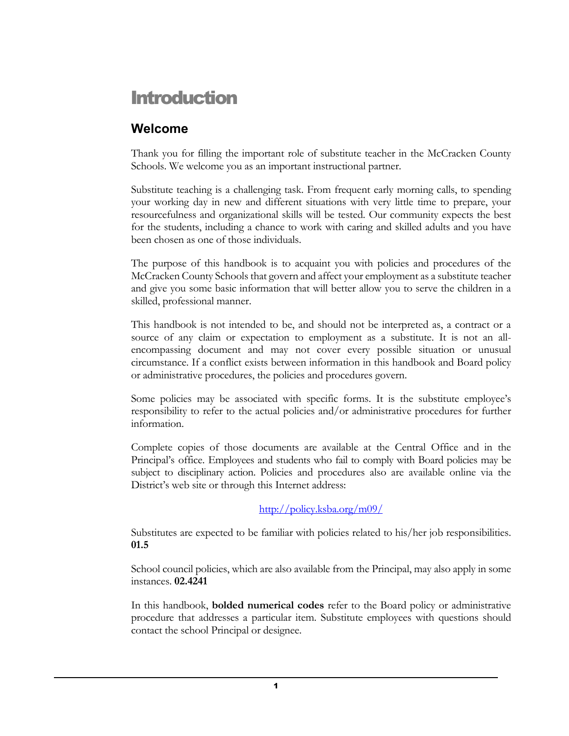# <span id="page-4-0"></span>Introduction

## <span id="page-4-1"></span>**Welcome**

Thank you for filling the important role of substitute teacher in the McCracken County Schools. We welcome you as an important instructional partner.

Substitute teaching is a challenging task. From frequent early morning calls, to spending your working day in new and different situations with very little time to prepare, your resourcefulness and organizational skills will be tested. Our community expects the best for the students, including a chance to work with caring and skilled adults and you have been chosen as one of those individuals.

The purpose of this handbook is to acquaint you with policies and procedures of the McCracken County Schools that govern and affect your employment as a substitute teacher and give you some basic information that will better allow you to serve the children in a skilled, professional manner.

This handbook is not intended to be, and should not be interpreted as, a contract or a source of any claim or expectation to employment as a substitute. It is not an allencompassing document and may not cover every possible situation or unusual circumstance. If a conflict exists between information in this handbook and Board policy or administrative procedures, the policies and procedures govern.

Some policies may be associated with specific forms. It is the substitute employee's responsibility to refer to the actual policies and/or administrative procedures for further information.

Complete copies of those documents are available at the Central Office and in the Principal's office. Employees and students who fail to comply with Board policies may be subject to disciplinary action. Policies and procedures also are available online via the District's web site or through this Internet address:

<http://policy.ksba.org/m09/>

Substitutes are expected to be familiar with policies related to his/her job responsibilities. **01.5**

School council policies, which are also available from the Principal, may also apply in some instances. **02.4241**

In this handbook, **bolded numerical codes** refer to the Board policy or administrative procedure that addresses a particular item. Substitute employees with questions should contact the school Principal or designee.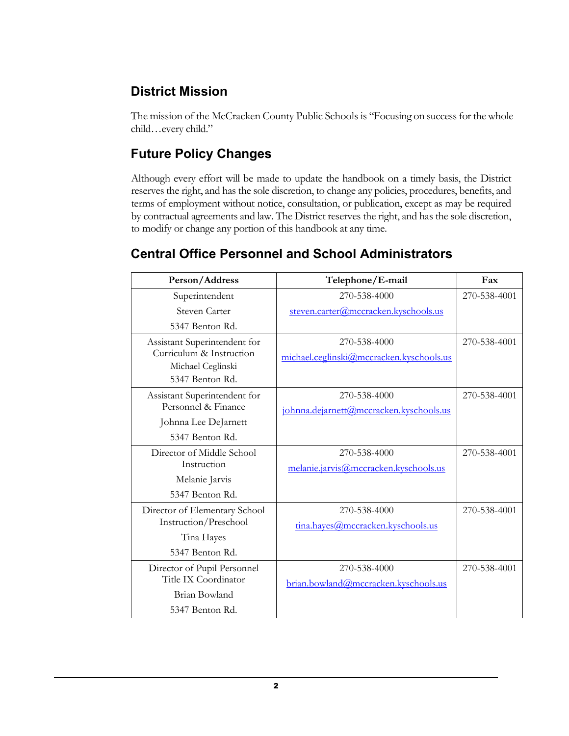## <span id="page-5-0"></span>**District Mission**

The mission of the McCracken County Public Schools is "Focusing on success for the whole child…every child."

## <span id="page-5-1"></span>**Future Policy Changes**

Although every effort will be made to update the handbook on a timely basis, the District reserves the right, and has the sole discretion, to change any policies, procedures, benefits, and terms of employment without notice, consultation, or publication, except as may be required by contractual agreements and law. The District reserves the right, and has the sole discretion, to modify or change any portion of this handbook at any time.

## <span id="page-5-2"></span>**Central Office Personnel and School Administrators**

| Person/Address                                      | Telephone/E-mail                         | Fax          |
|-----------------------------------------------------|------------------------------------------|--------------|
| Superintendent                                      | 270-538-4000                             | 270-538-4001 |
| Steven Carter                                       | steven.carter@mccracken.kyschools.us     |              |
| 5347 Benton Rd.                                     |                                          |              |
| Assistant Superintendent for                        | 270-538-4000                             | 270-538-4001 |
| Curriculum & Instruction                            | michael.ceglinski@mccracken.kyschools.us |              |
| Michael Ceglinski<br>5347 Benton Rd.                |                                          |              |
|                                                     |                                          |              |
| Assistant Superintendent for<br>Personnel & Finance | 270-538-4000                             | 270-538-4001 |
| Johnna Lee DeJarnett                                | johnna.dejarnett@mccracken.kyschools.us  |              |
| 5347 Benton Rd.                                     |                                          |              |
| Director of Middle School                           | 270-538-4000                             | 270-538-4001 |
| Instruction                                         | melanie.jarvis@mccracken.kyschools.us    |              |
| Melanie Jarvis                                      |                                          |              |
| 5347 Benton Rd.                                     |                                          |              |
| Director of Elementary School                       | 270-538-4000                             | 270-538-4001 |
| Instruction/Preschool                               | tina.hayes@mccracken.kyschools.us        |              |
| Tina Hayes                                          |                                          |              |
| 5347 Benton Rd.                                     |                                          |              |
| Director of Pupil Personnel                         | 270-538-4000                             | 270-538-4001 |
| Title IX Coordinator                                | brian.bowland@mccracken.kyschools.us     |              |
| Brian Bowland                                       |                                          |              |
| 5347 Benton Rd.                                     |                                          |              |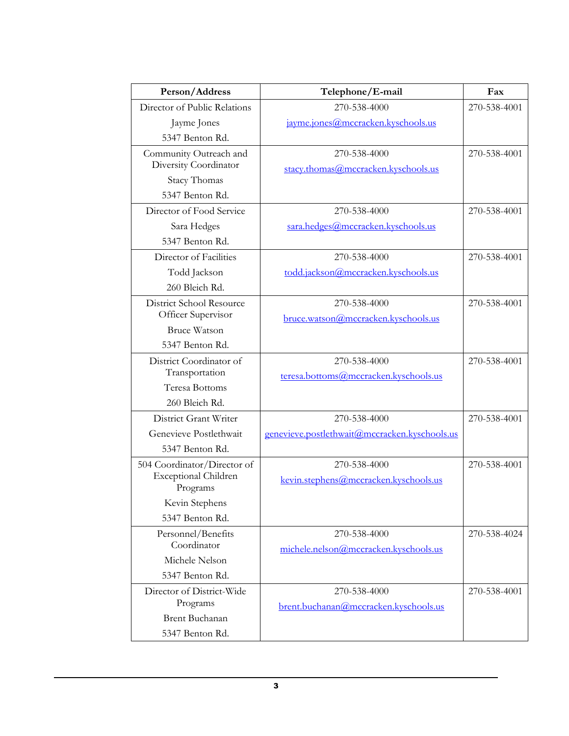| Person/Address                          | Telephone/E-mail                              | Fax          |
|-----------------------------------------|-----------------------------------------------|--------------|
| Director of Public Relations            | 270-538-4000                                  | 270-538-4001 |
| Jayme Jones                             | jayme.jones@mccracken.kyschools.us            |              |
| 5347 Benton Rd.                         |                                               |              |
| Community Outreach and                  | 270-538-4000                                  | 270-538-4001 |
| Diversity Coordinator                   | stacy.thomas@mccracken.kyschools.us           |              |
| <b>Stacy Thomas</b>                     |                                               |              |
| 5347 Benton Rd.                         |                                               |              |
| Director of Food Service                | 270-538-4000                                  | 270-538-4001 |
| Sara Hedges                             | sara.hedges@mccracken.kyschools.us            |              |
| 5347 Benton Rd.                         |                                               |              |
| Director of Facilities                  | 270-538-4000                                  | 270-538-4001 |
| Todd Jackson                            | todd.jackson@mccracken.kyschools.us           |              |
| 260 Bleich Rd.                          |                                               |              |
| District School Resource                | 270-538-4000                                  | 270-538-4001 |
| Officer Supervisor                      | bruce.watson@mccracken.kyschools.us           |              |
| <b>Bruce Watson</b>                     |                                               |              |
| 5347 Benton Rd.                         |                                               |              |
| District Coordinator of                 | 270-538-4000                                  | 270-538-4001 |
| Transportation                          | teresa.bottoms@mccracken.kyschools.us         |              |
| Teresa Bottoms                          |                                               |              |
| 260 Bleich Rd.                          |                                               |              |
| District Grant Writer                   | 270-538-4000                                  | 270-538-4001 |
| Genevieve Postlethwait                  | genevieve.postlethwait@mccracken.kyschools.us |              |
| 5347 Benton Rd.                         |                                               |              |
| 504 Coordinator/Director of             | 270-538-4000                                  | 270-538-4001 |
| <b>Exceptional Children</b><br>Programs | kevin.stephens@mccracken.kyschools.us         |              |
| Kevin Stephens                          |                                               |              |
| 5347 Benton Rd.                         |                                               |              |
| Personnel/Benefits                      | 270-538-4000                                  | 270-538-4024 |
| Coordinator                             | michele.nelson@mccracken.kyschools.us         |              |
| Michele Nelson                          |                                               |              |
| 5347 Benton Rd.                         |                                               |              |
| Director of District-Wide               | 270-538-4000                                  | 270-538-4001 |
| Programs                                | brent.buchanan@mccracken.kyschools.us         |              |
| <b>Brent Buchanan</b>                   |                                               |              |
| 5347 Benton Rd.                         |                                               |              |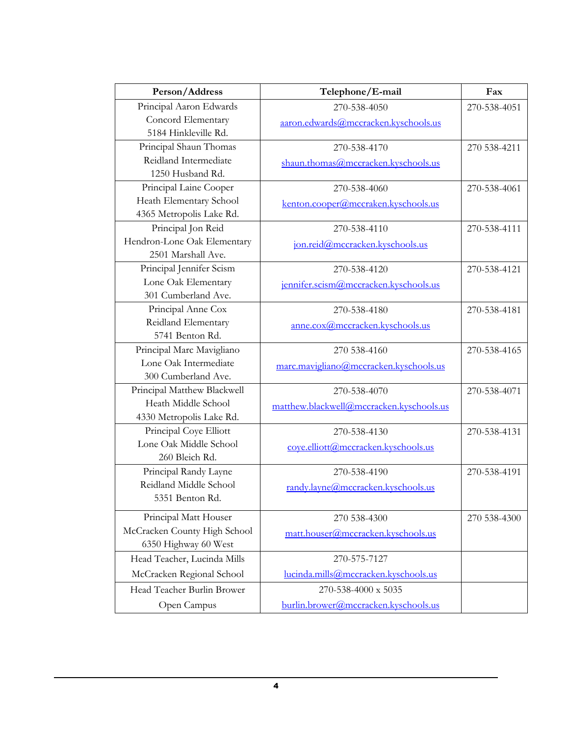| Person/Address                           | Telephone/E-mail                         | Fax          |
|------------------------------------------|------------------------------------------|--------------|
| Principal Aaron Edwards                  | 270-538-4050                             | 270-538-4051 |
| Concord Elementary                       | aaron.edwards@mccracken.kyschools.us     |              |
| 5184 Hinkleville Rd.                     |                                          |              |
| Principal Shaun Thomas                   | 270-538-4170                             | 270 538-4211 |
| Reidland Intermediate                    | shaun.thomas@mccracken.kyschools.us      |              |
| 1250 Husband Rd.                         |                                          |              |
| Principal Laine Cooper                   | 270-538-4060                             | 270-538-4061 |
| Heath Elementary School                  | kenton.cooper@mccraken.kyschools.us      |              |
| 4365 Metropolis Lake Rd.                 |                                          |              |
| Principal Jon Reid                       | 270-538-4110                             | 270-538-4111 |
| Hendron-Lone Oak Elementary              | jon.reid@mccracken.kyschools.us          |              |
| 2501 Marshall Ave.                       |                                          |              |
| Principal Jennifer Scism                 | 270-538-4120                             | 270-538-4121 |
| Lone Oak Elementary                      | jennifer.scism@mccracken.kyschools.us    |              |
| 301 Cumberland Ave.                      |                                          |              |
| Principal Anne Cox                       | 270-538-4180                             | 270-538-4181 |
| Reidland Elementary                      | anne.cox@mccracken.kyschools.us          |              |
| 5741 Benton Rd.                          |                                          |              |
| Principal Marc Mavigliano                | 270 538-4160                             | 270-538-4165 |
| Lone Oak Intermediate                    | marc.mavigliano@mccracken.kyschools.us   |              |
| 300 Cumberland Ave.                      |                                          |              |
| Principal Matthew Blackwell              | 270-538-4070                             | 270-538-4071 |
| Heath Middle School                      | matthew.blackwell@mccracken.kyschools.us |              |
| 4330 Metropolis Lake Rd.                 |                                          |              |
| Principal Coye Elliott                   | 270-538-4130                             | 270-538-4131 |
| Lone Oak Middle School<br>260 Bleich Rd. | coye.elliott@mccracken.kyschools.us      |              |
| Principal Randy Layne                    | 270-538-4190                             | 270-538-4191 |
| Reidland Middle School                   |                                          |              |
| 5351 Benton Rd.                          | randy.layne@mccracken.kyschools.us       |              |
|                                          |                                          |              |
| Principal Matt Houser                    | 270 538-4300                             | 270 538-4300 |
| McCracken County High School             | matt.houser@mccracken.kyschools.us       |              |
| 6350 Highway 60 West                     |                                          |              |
| Head Teacher, Lucinda Mills              | 270-575-7127                             |              |
| McCracken Regional School                | lucinda.mills@mccracken.kyschools.us     |              |
| Head Teacher Burlin Brower               | 270-538-4000 x 5035                      |              |
| Open Campus                              | burlin.brower@mccracken.kyschools.us     |              |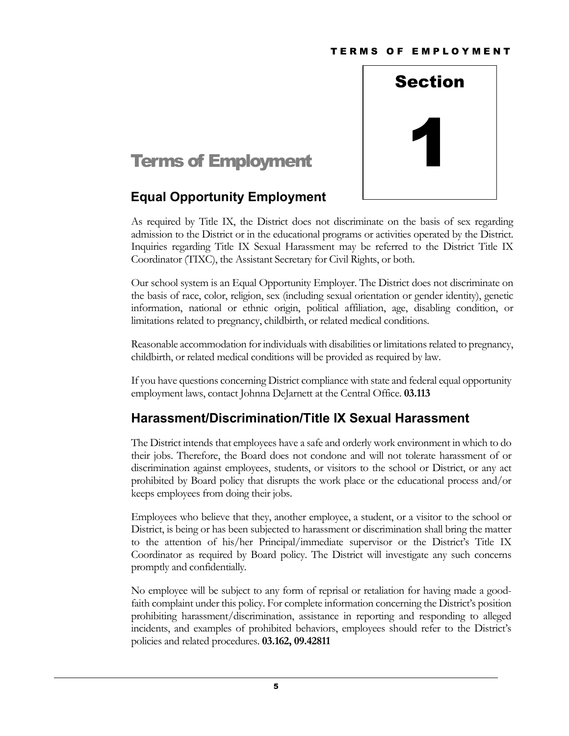

# <span id="page-8-0"></span>**Terms of Employment**

## <span id="page-8-1"></span>**Equal Opportunity Employment**

As required by Title IX, the District does not discriminate on the basis of sex regarding admission to the District or in the educational programs or activities operated by the District. Inquiries regarding Title IX Sexual Harassment may be referred to the District Title IX Coordinator (TIXC), the Assistant Secretary for Civil Rights, or both.

Our school system is an Equal Opportunity Employer. The District does not discriminate on the basis of race, color, religion, sex (including sexual orientation or gender identity), genetic information, national or ethnic origin, political affiliation, age, disabling condition, or limitations related to pregnancy, childbirth, or related medical conditions.

Reasonable accommodation for individuals with disabilities or limitations related to pregnancy, childbirth, or related medical conditions will be provided as required by law.

If you have questions concerning District compliance with state and federal equal opportunity employment laws, contact Johnna DeJarnett at the Central Office. **03.113**

## <span id="page-8-2"></span>**Harassment/Discrimination/Title IX Sexual Harassment**

The District intends that employees have a safe and orderly work environment in which to do their jobs. Therefore, the Board does not condone and will not tolerate harassment of or discrimination against employees, students, or visitors to the school or District, or any act prohibited by Board policy that disrupts the work place or the educational process and/or keeps employees from doing their jobs.

Employees who believe that they, another employee, a student, or a visitor to the school or District, is being or has been subjected to harassment or discrimination shall bring the matter to the attention of his/her Principal/immediate supervisor or the District's Title IX Coordinator as required by Board policy. The District will investigate any such concerns promptly and confidentially.

No employee will be subject to any form of reprisal or retaliation for having made a goodfaith complaint under this policy. For complete information concerning the District's position prohibiting harassment/discrimination, assistance in reporting and responding to alleged incidents, and examples of prohibited behaviors, employees should refer to the District's policies and related procedures. **03.162, 09.42811**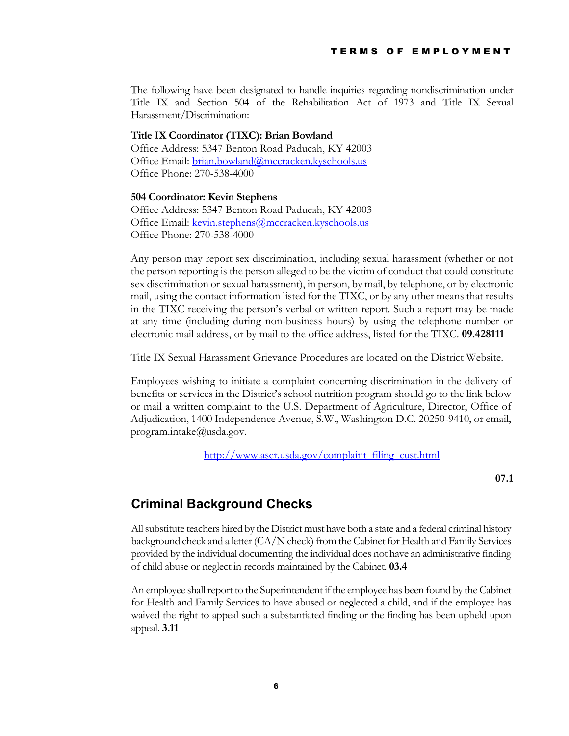The following have been designated to handle inquiries regarding nondiscrimination under Title IX and Section 504 of the Rehabilitation Act of 1973 and Title IX Sexual Harassment/Discrimination:

#### **Title IX Coordinator (TIXC): Brian Bowland**

Office Address: 5347 Benton Road Paducah, KY 42003 Office Email: [brian.bowland@mccracken.kyschools.us](mailto:brian.bowland@mccracken.kyschools.us) Office Phone: 270-538-4000

#### **504 Coordinator: Kevin Stephens**

Office Address: 5347 Benton Road Paducah, KY 42003 Office Email: [kevin.stephens@mccracken.kyschools.us](mailto:kevin.stephens@mccracken.kyschools.us) Office Phone: 270-538-4000

Any person may report sex discrimination, including sexual harassment (whether or not the person reporting is the person alleged to be the victim of conduct that could constitute sex discrimination or sexual harassment), in person, by mail, by telephone, or by electronic mail, using the contact information listed for the TIXC, or by any other means that results in the TIXC receiving the person's verbal or written report. Such a report may be made at any time (including during non-business hours) by using the telephone number or electronic mail address, or by mail to the office address, listed for the TIXC. **09.428111**

Title IX Sexual Harassment Grievance Procedures are located on the District Website.

Employees wishing to initiate a complaint concerning discrimination in the delivery of benefits or services in the District's school nutrition program should go to the link below or mail a written complaint to the U.S. Department of Agriculture, Director, Office of Adjudication, 1400 Independence Avenue, S.W., Washington D.C. 20250-9410, or email, [program.intake@usda.gov.](mailto:program.intake@usda.gov)

[http://www.ascr.usda.gov/complaint\\_filing\\_cust.html](http://www.ascr.usda.gov/complaint_filing_cust.html)

**07.1**

## <span id="page-9-0"></span>**Criminal Background Checks**

All substitute teachers hired by the District must have both a state and a federal criminal history background check and a letter (CA/N check) from the Cabinet for Health and Family Services provided by the individual documenting the individual does not have an administrative finding of child abuse or neglect in records maintained by the Cabinet. **03.4**

An employee shall report to the Superintendent if the employee has been found by the Cabinet for Health and Family Services to have abused or neglected a child, and if the employee has waived the right to appeal such a substantiated finding or the finding has been upheld upon appeal. **3.11**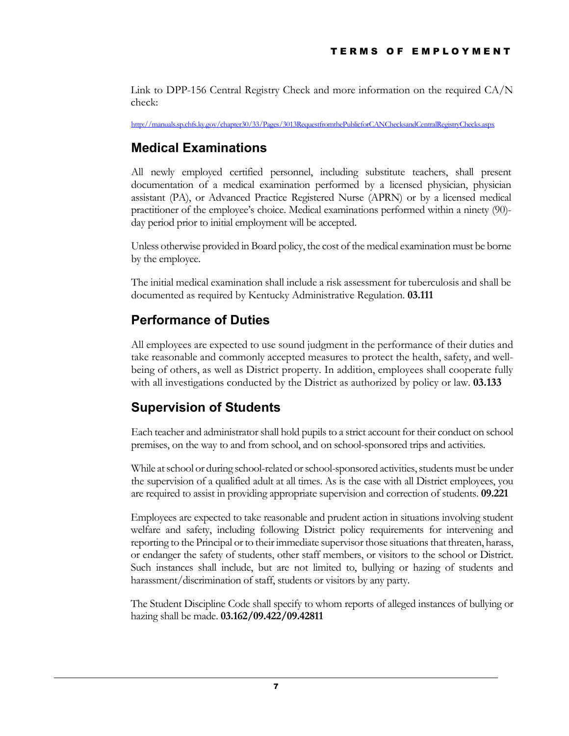Link to DPP-156 Central Registry Check and more information on the required CA/N check:

<http://manuals.sp.chfs.ky.gov/chapter30/33/Pages/3013RequestfromthePublicforCANChecksandCentralRegistryChecks.aspx>

## <span id="page-10-0"></span>**Medical Examinations**

All newly employed certified personnel, including substitute teachers, shall present documentation of a medical examination performed by a licensed physician, physician assistant (PA), or Advanced Practice Registered Nurse (APRN) or by a licensed medical practitioner of the employee's choice. Medical examinations performed within a ninety (90) day period prior to initial employment will be accepted.

Unless otherwise provided in Board policy, the cost of the medical examination must be borne by the employee.

The initial medical examination shall include a risk assessment for tuberculosis and shall be documented as required by Kentucky Administrative Regulation. **03.111**

## <span id="page-10-1"></span>**Performance of Duties**

All employees are expected to use sound judgment in the performance of their duties and take reasonable and commonly accepted measures to protect the health, safety, and wellbeing of others, as well as District property. In addition, employees shall cooperate fully with all investigations conducted by the District as authorized by policy or law. **03.133**

## <span id="page-10-2"></span>**Supervision of Students**

Each teacher and administrator shall hold pupils to a strict account for their conduct on school premises, on the way to and from school, and on school-sponsored trips and activities.

While at school or during school-related or school-sponsored activities, students must be under the supervision of a qualified adult at all times. As is the case with all District employees, you are required to assist in providing appropriate supervision and correction of students. **09.221**

Employees are expected to take reasonable and prudent action in situations involving student welfare and safety, including following District policy requirements for intervening and reporting to the Principal or to their immediate supervisor those situations that threaten, harass, or endanger the safety of students, other staff members, or visitors to the school or District. Such instances shall include, but are not limited to, bullying or hazing of students and harassment/discrimination of staff, students or visitors by any party.

The Student Discipline Code shall specify to whom reports of alleged instances of bullying or hazing shall be made. **03.162/09.422/09.42811**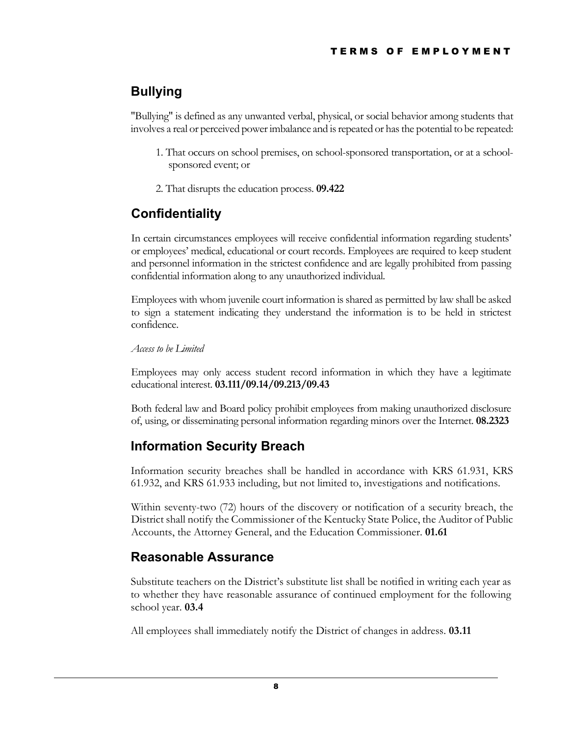## <span id="page-11-0"></span>**Bullying**

"Bullying" is defined as any unwanted verbal, physical, or social behavior among students that involves a real or perceived power imbalance and is repeated or has the potential to be repeated:

- 1. That occurs on school premises, on school-sponsored transportation, or at a schoolsponsored event; or
- 2. That disrupts the education process. **09.422**

## <span id="page-11-1"></span>**Confidentiality**

In certain circumstances employees will receive confidential information regarding students' or employees' medical, educational or court records. Employees are required to keep student and personnel information in the strictest confidence and are legally prohibited from passing confidential information along to any unauthorized individual.

Employees with whom juvenile court information is shared as permitted by law shall be asked to sign a statement indicating they understand the information is to be held in strictest confidence.

*Access to be Limited*

Employees may only access student record information in which they have a legitimate educational interest. **03.111/09.14/09.213/09.43**

Both federal law and Board policy prohibit employees from making unauthorized disclosure of, using, or disseminating personal information regarding minors over the Internet. **08.2323**

## <span id="page-11-2"></span>**Information Security Breach**

Information security breaches shall be handled in accordance with KRS 61.931, KRS 61.932, and KRS 61.933 including, but not limited to, investigations and notifications.

Within seventy-two (72) hours of the discovery or notification of a security breach, the District shall notify the Commissioner of the Kentucky State Police, the Auditor of Public Accounts, the Attorney General, and the Education Commissioner. **01.61**

## <span id="page-11-3"></span>**Reasonable Assurance**

Substitute teachers on the District's substitute list shall be notified in writing each year as to whether they have reasonable assurance of continued employment for the following school year. **03.4**

All employees shall immediately notify the District of changes in address. **03.11**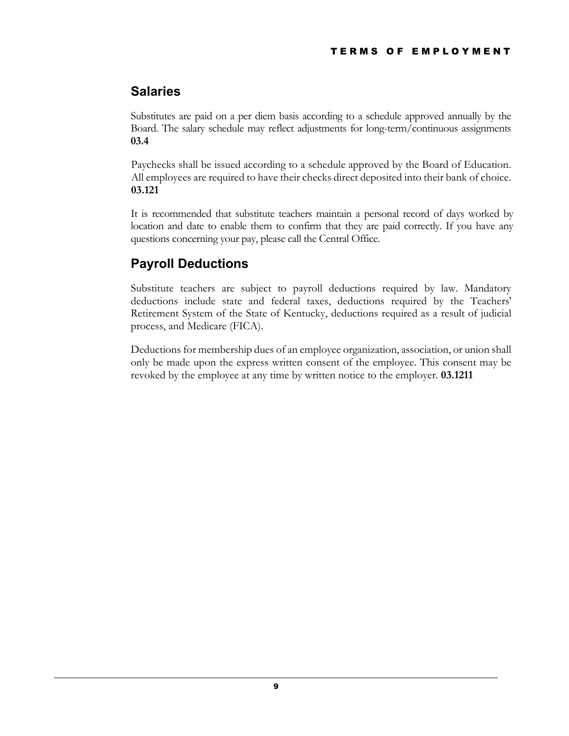## <span id="page-12-0"></span>**Salaries**

Substitutes are paid on a per diem basis according to a schedule approved annually by the Board. The salary schedule may reflect adjustments for long-term/continuous assignments **03.4**

Paychecks shall be issued according to a schedule approved by the Board of Education. All employees are required to have their checks direct deposited into their bank of choice. **03.121** 

It is recommended that substitute teachers maintain a personal record of days worked by location and date to enable them to confirm that they are paid correctly. If you have any questions concerning your pay, please call the Central Office.

## <span id="page-12-1"></span>**Payroll Deductions**

Substitute teachers are subject to payroll deductions required by law. Mandatory deductions include state and federal taxes, deductions required by the Teachers' Retirement System of the State of Kentucky, deductions required as a result of judicial process, and Medicare (FICA).

Deductions for membership dues of an employee organization, association, or union shall only be made upon the express written consent of the employee. This consent may be revoked by the employee at any time by written notice to the employer. **03.1211**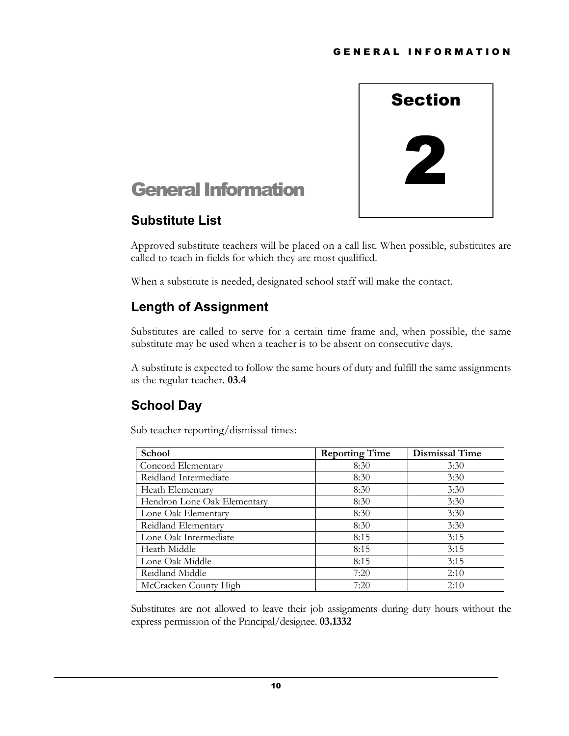

## <span id="page-13-0"></span>General Information

## <span id="page-13-1"></span>**Substitute List**

Approved substitute teachers will be placed on a call list. When possible, substitutes are called to teach in fields for which they are most qualified.

When a substitute is needed, designated school staff will make the contact.

## <span id="page-13-2"></span>**Length of Assignment**

Substitutes are called to serve for a certain time frame and, when possible, the same substitute may be used when a teacher is to be absent on consecutive days.

A substitute is expected to follow the same hours of duty and fulfill the same assignments as the regular teacher. **03.4**

## <span id="page-13-3"></span>**School Day**

Sub teacher reporting/dismissal times:

| School                      | <b>Reporting Time</b> | <b>Dismissal Time</b> |
|-----------------------------|-----------------------|-----------------------|
| Concord Elementary          | 8:30                  | 3:30                  |
| Reidland Intermediate       | 8:30                  | 3:30                  |
| Heath Elementary            | 8:30                  | 3:30                  |
| Hendron Lone Oak Elementary | 8:30                  | 3:30                  |
| Lone Oak Elementary         | 8:30                  | 3:30                  |
| Reidland Elementary         | 8:30                  | 3:30                  |
| Lone Oak Intermediate       | 8:15                  | 3:15                  |
| Heath Middle                | 8:15                  | 3:15                  |
| Lone Oak Middle             | 8:15                  | 3:15                  |
| Reidland Middle             | 7:20                  | 2:10                  |
| McCracken County High       | 7:20                  | 2:10                  |

Substitutes are not allowed to leave their job assignments during duty hours without the express permission of the Principal/designee. **03.1332**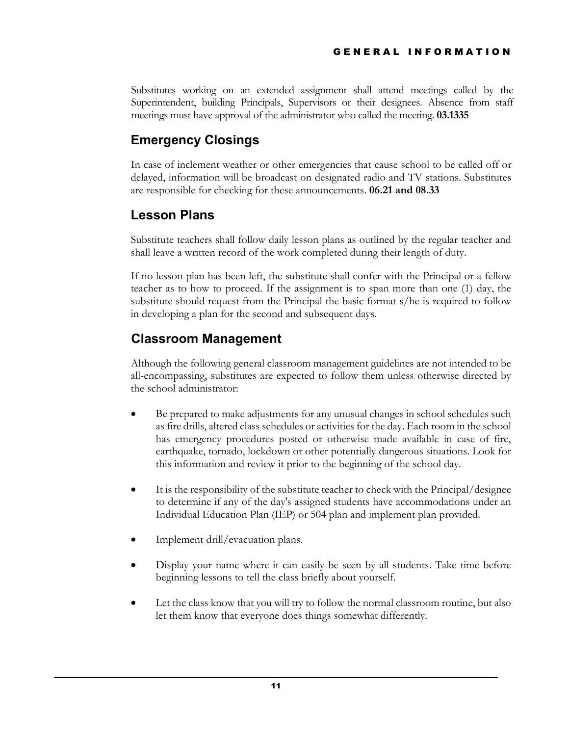Substitutes working on an extended assignment shall attend meetings called by the Superintendent, building Principals, Supervisors or their designees. Absence from staff meetings must have approval of the administrator who called the meeting. **03.1335**

## <span id="page-14-0"></span>**Emergency Closings**

In case of inclement weather or other emergencies that cause school to be called off or delayed, information will be broadcast on designated radio and TV stations. Substitutes are responsible for checking for these announcements. **06.21 and 08.33**

## <span id="page-14-1"></span>**Lesson Plans**

Substitute teachers shall follow daily lesson plans as outlined by the regular teacher and shall leave a written record of the work completed during their length of duty.

If no lesson plan has been left, the substitute shall confer with the Principal or a fellow teacher as to how to proceed. If the assignment is to span more than one (1) day, the substitute should request from the Principal the basic format s/he is required to follow in developing a plan for the second and subsequent days.

## <span id="page-14-2"></span>**Classroom Management**

Although the following general classroom management guidelines are not intended to be all-encompassing, substitutes are expected to follow them unless otherwise directed by the school administrator:

- Be prepared to make adjustments for any unusual changes in school schedules such as fire drills, altered class schedules or activities for the day. Each room in the school has emergency procedures posted or otherwise made available in case of fire, earthquake, tornado, lockdown or other potentially dangerous situations. Look for this information and review it prior to the beginning of the school day.
- It is the responsibility of the substitute teacher to check with the Principal/designee to determine if any of the day's assigned students have accommodations under an Individual Education Plan (IEP) or 504 plan and implement plan provided.
- Implement drill/evacuation plans.
- Display your name where it can easily be seen by all students. Take time before beginning lessons to tell the class briefly about yourself.
- Let the class know that you will try to follow the normal classroom routine, but also let them know that everyone does things somewhat differently.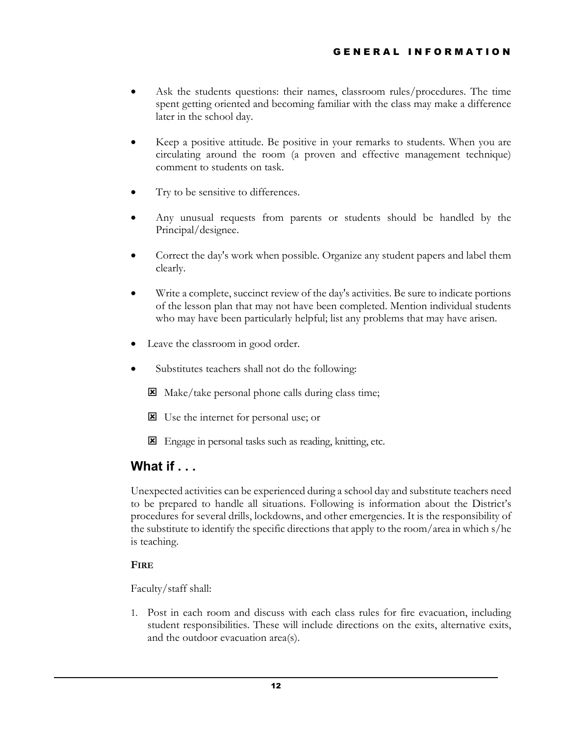- Ask the students questions: their names, classroom rules/procedures. The time spent getting oriented and becoming familiar with the class may make a difference later in the school day.
- Keep a positive attitude. Be positive in your remarks to students. When you are circulating around the room (a proven and effective management technique) comment to students on task.
- Try to be sensitive to differences.
- Any unusual requests from parents or students should be handled by the Principal/designee.
- Correct the day's work when possible. Organize any student papers and label them clearly.
- Write a complete, succinct review of the day's activities. Be sure to indicate portions of the lesson plan that may not have been completed. Mention individual students who may have been particularly helpful; list any problems that may have arisen.
- Leave the classroom in good order.
- Substitutes teachers shall not do the following:
	- Make/take personal phone calls during class time;
	- Use the internet for personal use; or
	- Engage in personal tasks such as reading, knitting, etc.

## <span id="page-15-0"></span>**What if . . .**

Unexpected activities can be experienced during a school day and substitute teachers need to be prepared to handle all situations. Following is information about the District's procedures for several drills, lockdowns, and other emergencies. It is the responsibility of the substitute to identify the specific directions that apply to the room/area in which s/he is teaching.

#### **FIRE**

Faculty/staff shall:

1. Post in each room and discuss with each class rules for fire evacuation, including student responsibilities. These will include directions on the exits, alternative exits, and the outdoor evacuation area(s).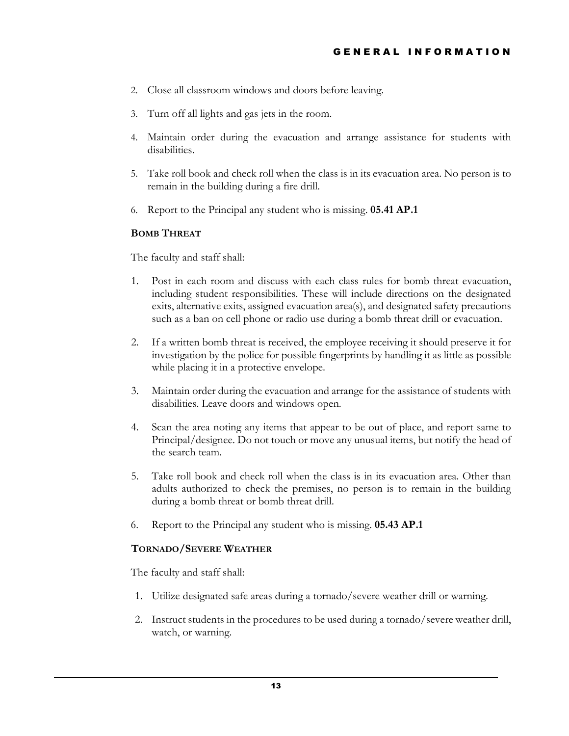- 2. Close all classroom windows and doors before leaving.
- 3. Turn off all lights and gas jets in the room.
- 4. Maintain order during the evacuation and arrange assistance for students with disabilities.
- 5. Take roll book and check roll when the class is in its evacuation area. No person is to remain in the building during a fire drill.
- 6. Report to the Principal any student who is missing. **05.41 AP.1**

#### **BOMB THREAT**

The faculty and staff shall:

- 1. Post in each room and discuss with each class rules for bomb threat evacuation, including student responsibilities. These will include directions on the designated exits, alternative exits, assigned evacuation area(s), and designated safety precautions such as a ban on cell phone or radio use during a bomb threat drill or evacuation.
- 2. If a written bomb threat is received, the employee receiving it should preserve it for investigation by the police for possible fingerprints by handling it as little as possible while placing it in a protective envelope.
- 3. Maintain order during the evacuation and arrange for the assistance of students with disabilities. Leave doors and windows open.
- 4. Scan the area noting any items that appear to be out of place, and report same to Principal/designee. Do not touch or move any unusual items, but notify the head of the search team.
- 5. Take roll book and check roll when the class is in its evacuation area. Other than adults authorized to check the premises, no person is to remain in the building during a bomb threat or bomb threat drill.
- 6. Report to the Principal any student who is missing. **05.43 AP.1**

#### **TORNADO/SEVERE WEATHER**

The faculty and staff shall:

- 1. Utilize designated safe areas during a tornado/severe weather drill or warning.
- 2. Instruct students in the procedures to be used during a tornado/severe weather drill, watch, or warning.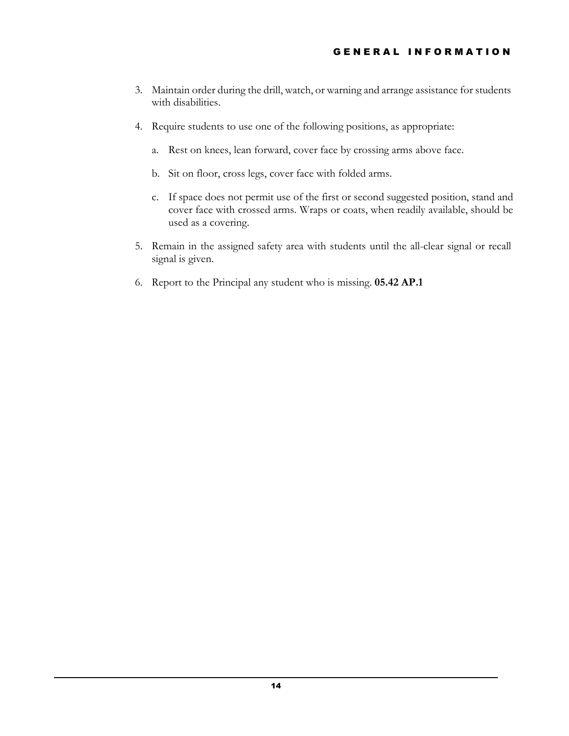- 3. Maintain order during the drill, watch, or warning and arrange assistance for students with disabilities.
- 4. Require students to use one of the following positions, as appropriate:
	- a. Rest on knees, lean forward, cover face by crossing arms above face.
	- b. Sit on floor, cross legs, cover face with folded arms.
	- c. If space does not permit use of the first or second suggested position, stand and cover face with crossed arms. Wraps or coats, when readily available, should be used as a covering.
- 5. Remain in the assigned safety area with students until the all-clear signal or recall signal is given.
- 6. Report to the Principal any student who is missing. **05.42 AP.1**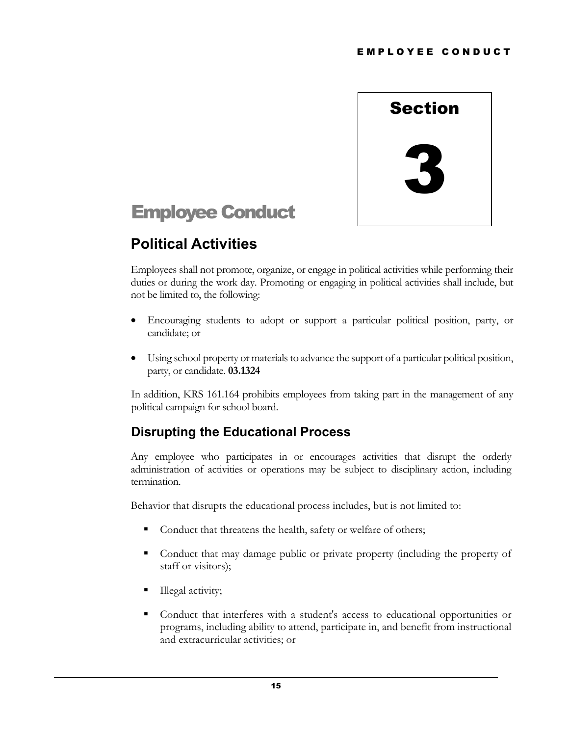

# <span id="page-18-0"></span>Employee Conduct

# <span id="page-18-1"></span>**Political Activities**

Employees shall not promote, organize, or engage in political activities while performing their duties or during the work day. Promoting or engaging in political activities shall include, but not be limited to, the following:

- Encouraging students to adopt or support a particular political position, party, or candidate; or
- Using school property or materials to advance the support of a particular political position, party, or candidate. **03.1324**

In addition, KRS 161.164 prohibits employees from taking part in the management of any political campaign for school board.

## <span id="page-18-2"></span>**Disrupting the Educational Process**

Any employee who participates in or encourages activities that disrupt the orderly administration of activities or operations may be subject to disciplinary action, including termination.

Behavior that disrupts the educational process includes, but is not limited to:

- Conduct that threatens the health, safety or welfare of others;
- Conduct that may damage public or private property (including the property of staff or visitors);
- **Illegal activity;**
- Conduct that interferes with a student's access to educational opportunities or programs, including ability to attend, participate in, and benefit from instructional and extracurricular activities; or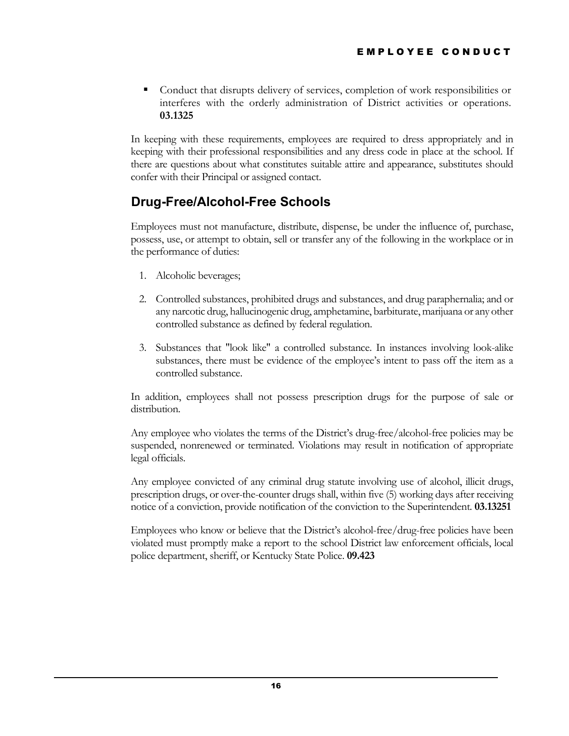Conduct that disrupts delivery of services, completion of work responsibilities or interferes with the orderly administration of District activities or operations. **03.1325**

In keeping with these requirements, employees are required to dress appropriately and in keeping with their professional responsibilities and any dress code in place at the school. If there are questions about what constitutes suitable attire and appearance, substitutes should confer with their Principal or assigned contact.

## <span id="page-19-0"></span>**Drug-Free/Alcohol-Free Schools**

Employees must not manufacture, distribute, dispense, be under the influence of, purchase, possess, use, or attempt to obtain, sell or transfer any of the following in the workplace or in the performance of duties:

- 1. Alcoholic beverages;
- 2. Controlled substances, prohibited drugs and substances, and drug paraphernalia; and or any narcotic drug, hallucinogenic drug, amphetamine, barbiturate, marijuana or any other controlled substance as defined by federal regulation.
- 3. Substances that "look like" a controlled substance. In instances involving look-alike substances, there must be evidence of the employee's intent to pass off the item as a controlled substance.

In addition, employees shall not possess prescription drugs for the purpose of sale or distribution.

Any employee who violates the terms of the District's drug-free/alcohol-free policies may be suspended, nonrenewed or terminated. Violations may result in notification of appropriate legal officials.

Any employee convicted of any criminal drug statute involving use of alcohol, illicit drugs, prescription drugs, or over-the-counter drugs shall, within five (5) working days after receiving notice of a conviction, provide notification of the conviction to the Superintendent. **03.13251**

Employees who know or believe that the District's alcohol-free/drug-free policies have been violated must promptly make a report to the school District law enforcement officials, local police department, sheriff, or Kentucky State Police. **09.423**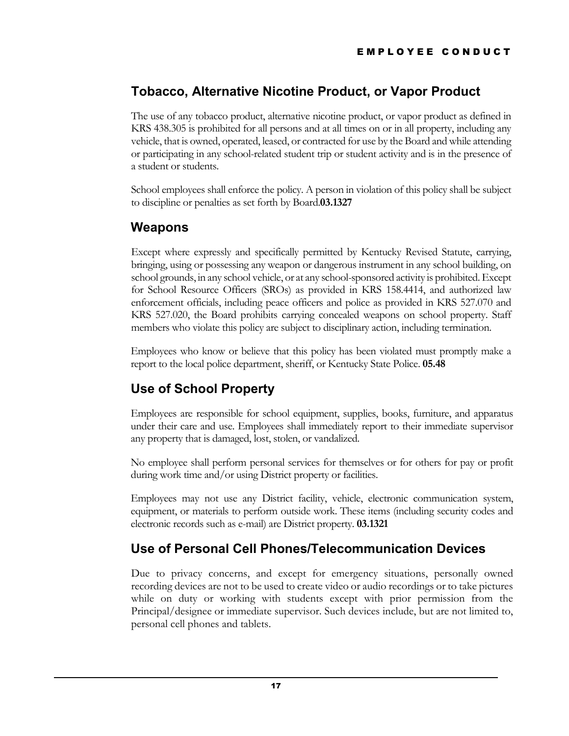## <span id="page-20-0"></span>**Tobacco, Alternative Nicotine Product, or Vapor Product**

The use of any tobacco product, alternative nicotine product, or vapor product as defined in KRS 438.305 is prohibited for all persons and at all times on or in all property, including any vehicle, that is owned, operated, leased, or contracted for use by the Board and while attending or participating in any school-related student trip or student activity and is in the presence of a student or students.

School employees shall enforce the policy. A person in violation of this policy shall be subject to discipline or penalties as set forth by Board.**03.1327**

## <span id="page-20-1"></span>**Weapons**

Except where expressly and specifically permitted by Kentucky Revised Statute, carrying, bringing, using or possessing any weapon or dangerous instrument in any school building, on school grounds, in any school vehicle, or at any school-sponsored activity is prohibited. Except for School Resource Officers (SROs) as provided in KRS 158.4414, and authorized law enforcement officials, including peace officers and police as provided in KRS 527.070 and KRS 527.020, the Board prohibits carrying concealed weapons on school property. Staff members who violate this policy are subject to disciplinary action, including termination.

Employees who know or believe that this policy has been violated must promptly make a report to the local police department, sheriff, or Kentucky State Police. **05.48**

## <span id="page-20-2"></span>**Use of School Property**

Employees are responsible for school equipment, supplies, books, furniture, and apparatus under their care and use. Employees shall immediately report to their immediate supervisor any property that is damaged, lost, stolen, or vandalized.

No employee shall perform personal services for themselves or for others for pay or profit during work time and/or using District property or facilities.

Employees may not use any District facility, vehicle, electronic communication system, equipment, or materials to perform outside work. These items (including security codes and electronic records such as e-mail) are District property. **03.1321**

## <span id="page-20-3"></span>**Use of Personal Cell Phones/Telecommunication Devices**

Due to privacy concerns, and except for emergency situations, personally owned recording devices are not to be used to create video or audio recordings or to take pictures while on duty or working with students except with prior permission from the Principal/designee or immediate supervisor. Such devices include, but are not limited to, personal cell phones and tablets.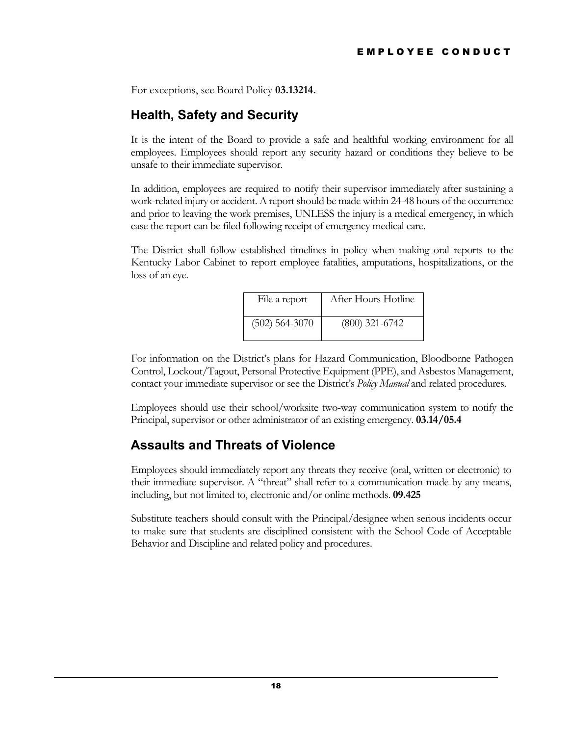For exceptions, see Board Policy **03.13214.**

## <span id="page-21-0"></span>**Health, Safety and Security**

It is the intent of the Board to provide a safe and healthful working environment for all employees. Employees should report any security hazard or conditions they believe to be unsafe to their immediate supervisor.

In addition, employees are required to notify their supervisor immediately after sustaining a work-related injury or accident. A report should be made within 24-48 hours of the occurrence and prior to leaving the work premises, UNLESS the injury is a medical emergency, in which case the report can be filed following receipt of emergency medical care.

The District shall follow established timelines in policy when making oral reports to the Kentucky Labor Cabinet to report employee fatalities, amputations, hospitalizations, or the loss of an eye.

| File a report    | After Hours Hotline |
|------------------|---------------------|
| $(502)$ 564-3070 | $(800)$ 321-6742    |

For information on the District's plans for Hazard Communication, Bloodborne Pathogen Control, Lockout/Tagout, Personal Protective Equipment (PPE), and Asbestos Management, contact your immediate supervisor or see the District's *Policy Manual* and related procedures.

Employees should use their school/worksite two-way communication system to notify the Principal, supervisor or other administrator of an existing emergency. **03.14/05.4**

## <span id="page-21-1"></span>**Assaults and Threats of Violence**

Employees should immediately report any threats they receive (oral, written or electronic) to their immediate supervisor. A "threat" shall refer to a communication made by any means, including, but not limited to, electronic and/or online methods. **09.425**

Substitute teachers should consult with the Principal/designee when serious incidents occur to make sure that students are disciplined consistent with the School Code of Acceptable Behavior and Discipline and related policy and procedures.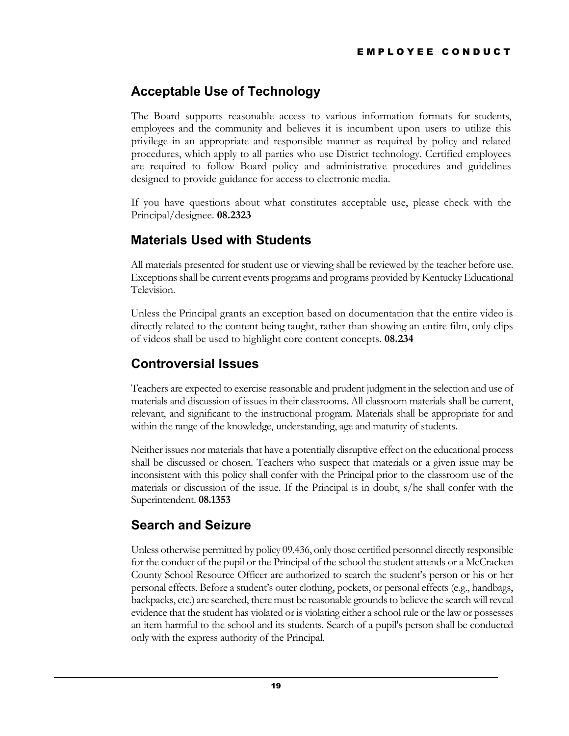## <span id="page-22-0"></span>**Acceptable Use of Technology**

The Board supports reasonable access to various information formats for students, employees and the community and believes it is incumbent upon users to utilize this privilege in an appropriate and responsible manner as required by policy and related procedures, which apply to all parties who use District technology. Certified employees are required to follow Board policy and administrative procedures and guidelines designed to provide guidance for access to electronic media.

If you have questions about what constitutes acceptable use, please check with the Principal/designee. **08.2323**

## <span id="page-22-1"></span>**Materials Used with Students**

All materials presented for student use or viewing shall be reviewed by the teacher before use. Exceptions shall be current events programs and programs provided by Kentucky Educational Television.

Unless the Principal grants an exception based on documentation that the entire video is directly related to the content being taught, rather than showing an entire film, only clips of videos shall be used to highlight core content concepts. **08.234**

## <span id="page-22-2"></span>**Controversial Issues**

Teachers are expected to exercise reasonable and prudent judgment in the selection and use of materials and discussion of issues in their classrooms. All classroom materials shall be current, relevant, and significant to the instructional program. Materials shall be appropriate for and within the range of the knowledge, understanding, age and maturity of students.

Neither issues nor materials that have a potentially disruptive effect on the educational process shall be discussed or chosen. Teachers who suspect that materials or a given issue may be inconsistent with this policy shall confer with the Principal prior to the classroom use of the materials or discussion of the issue. If the Principal is in doubt, s/he shall confer with the Superintendent. **08.1353**

## <span id="page-22-3"></span>**Search and Seizure**

Unless otherwise permitted by policy 09.436, only those certified personnel directly responsible for the conduct of the pupil or the Principal of the school the student attends or a McCracken County School Resource Officer are authorized to search the student's person or his or her personal effects. Before a student's outer clothing, pockets, or personal effects (e.g., handbags, backpacks, etc.) are searched, there must be reasonable grounds to believe the search will reveal evidence that the student has violated or is violating either a school rule or the law or possesses an item harmful to the school and its students. Search of a pupil's person shall be conducted only with the express authority of the Principal.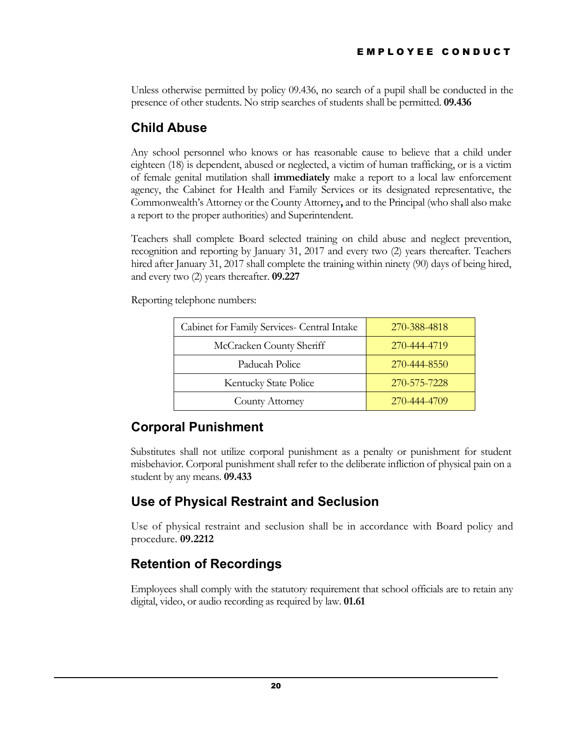Unless otherwise permitted by policy 09.436, no search of a pupil shall be conducted in the presence of other students. No strip searches of students shall be permitted. **09.436**

## <span id="page-23-0"></span>**Child Abuse**

Any school personnel who knows or has reasonable cause to believe that a child under eighteen (18) is dependent, abused or neglected, a victim of human trafficking, or is a victim of female genital mutilation shall **immediately** make a report to a local law enforcement agency, the Cabinet for Health and Family Services or its designated representative, the Commonwealth's Attorney or the County Attorney**,** and to the Principal (who shall also make a report to the proper authorities) and Superintendent.

Teachers shall complete Board selected training on child abuse and neglect prevention, recognition and reporting by January 31, 2017 and every two (2) years thereafter. Teachers hired after January 31, 2017 shall complete the training within ninety (90) days of being hired, and every two (2) years thereafter. **09.227**

Reporting telephone numbers:

| Cabinet for Family Services- Central Intake | 270-388-4818 |
|---------------------------------------------|--------------|
| McCracken County Sheriff                    | 270-444-4719 |
| Paducah Police                              | 270-444-8550 |
| Kentucky State Police                       | 270-575-7228 |
| County Attorney                             | 270-444-4709 |

## <span id="page-23-1"></span>**Corporal Punishment**

Substitutes shall not utilize corporal punishment as a penalty or punishment for student misbehavior. Corporal punishment shall refer to the deliberate infliction of physical pain on a student by any means. **09.433**

## <span id="page-23-2"></span>**Use of Physical Restraint and Seclusion**

Use of physical restraint and seclusion shall be in accordance with Board policy and procedure. **09.2212**

## <span id="page-23-3"></span>**Retention of Recordings**

Employees shall comply with the statutory requirement that school officials are to retain any digital, video, or audio recording as required by law. **01.61**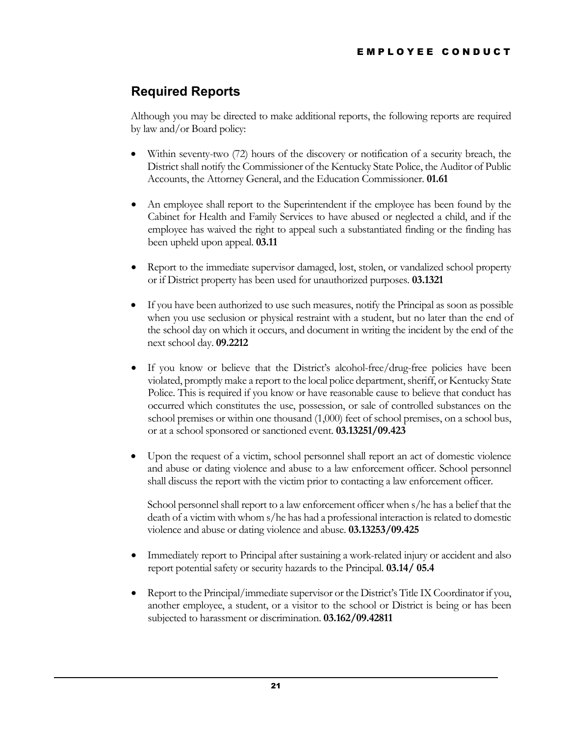## <span id="page-24-0"></span>**Required Reports**

Although you may be directed to make additional reports, the following reports are required by law and/or Board policy:

- Within seventy-two (72) hours of the discovery or notification of a security breach, the District shall notify the Commissioner of the Kentucky State Police, the Auditor of Public Accounts, the Attorney General, and the Education Commissioner. **01.61**
- An employee shall report to the Superintendent if the employee has been found by the Cabinet for Health and Family Services to have abused or neglected a child, and if the employee has waived the right to appeal such a substantiated finding or the finding has been upheld upon appeal. **03.11**
- Report to the immediate supervisor damaged, lost, stolen, or vandalized school property or if District property has been used for unauthorized purposes. **03.1321**
- If you have been authorized to use such measures, notify the Principal as soon as possible when you use seclusion or physical restraint with a student, but no later than the end of the school day on which it occurs, and document in writing the incident by the end of the next school day. **09.2212**
- If you know or believe that the District's alcohol-free/drug-free policies have been violated, promptly make a report to the local police department, sheriff, or Kentucky State Police. This is required if you know or have reasonable cause to believe that conduct has occurred which constitutes the use, possession, or sale of controlled substances on the school premises or within one thousand (1,000) feet of school premises, on a school bus, or at a school sponsored or sanctioned event. **03.13251/09.423**
- Upon the request of a victim, school personnel shall report an act of domestic violence and abuse or dating violence and abuse to a law enforcement officer. School personnel shall discuss the report with the victim prior to contacting a law enforcement officer.

School personnel shall report to a law enforcement officer when s/he has a belief that the death of a victim with whom s/he has had a professional interaction is related to domestic violence and abuse or dating violence and abuse. **03.13253/09.425**

- Immediately report to Principal after sustaining a work-related injury or accident and also report potential safety or security hazards to the Principal. **03.14/ 05.4**
- Report to the Principal/immediate supervisor or the District's Title IX Coordinator if you, another employee, a student, or a visitor to the school or District is being or has been subjected to harassment or discrimination. **03.162/09.42811**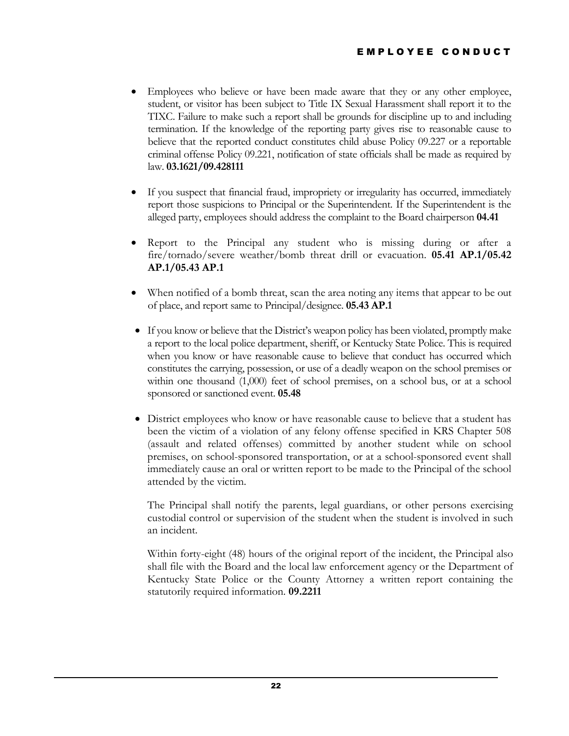- Employees who believe or have been made aware that they or any other employee, student, or visitor has been subject to Title IX Sexual Harassment shall report it to the TIXC. Failure to make such a report shall be grounds for discipline up to and including termination. If the knowledge of the reporting party gives rise to reasonable cause to believe that the reported conduct constitutes child abuse Policy 09.227 or a reportable criminal offense Policy 09.221, notification of state officials shall be made as required by law. **03.1621/09.428111**
- If you suspect that financial fraud, impropriety or irregularity has occurred, immediately report those suspicions to Principal or the Superintendent. If the Superintendent is the alleged party, employees should address the complaint to the Board chairperson **04.41**
- Report to the Principal any student who is missing during or after a fire/tornado/severe weather/bomb threat drill or evacuation. **05.41 AP.1/05.42 AP.1/05.43 AP.1**
- When notified of a bomb threat, scan the area noting any items that appear to be out of place, and report same to Principal/designee. **05.43 AP.1**
- If you know or believe that the District's weapon policy has been violated, promptly make a report to the local police department, sheriff, or Kentucky State Police. This is required when you know or have reasonable cause to believe that conduct has occurred which constitutes the carrying, possession, or use of a deadly weapon on the school premises or within one thousand (1,000) feet of school premises, on a school bus, or at a school sponsored or sanctioned event. **05.48**
- District employees who know or have reasonable cause to believe that a student has been the victim of a violation of any felony offense specified in KRS Chapter 508 (assault and related offenses) committed by another student while on school premises, on school-sponsored transportation, or at a school-sponsored event shall immediately cause an oral or written report to be made to the Principal of the school attended by the victim.

The Principal shall notify the parents, legal guardians, or other persons exercising custodial control or supervision of the student when the student is involved in such an incident.

Within forty-eight (48) hours of the original report of the incident, the Principal also shall file with the Board and the local law enforcement agency or the Department of Kentucky State Police or the County Attorney a written report containing the statutorily required information. **09.2211**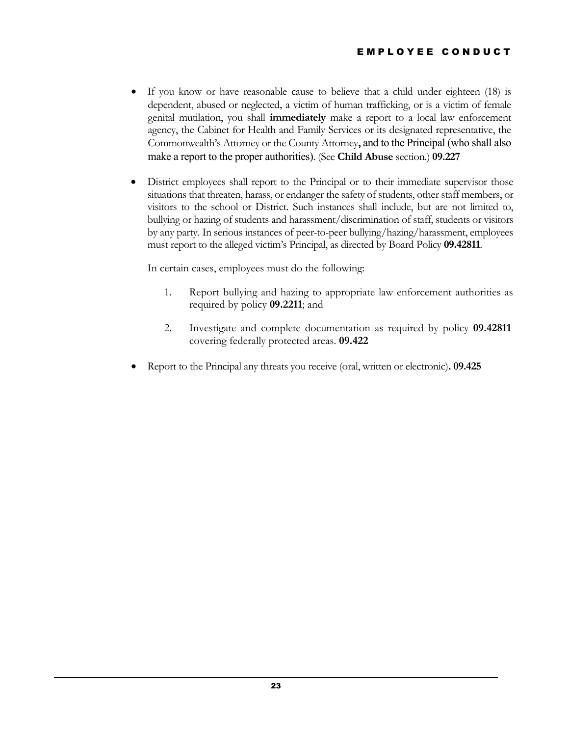- If you know or have reasonable cause to believe that a child under eighteen (18) is dependent, abused or neglected, a victim of human trafficking, or is a victim of female genital mutilation, you shall **immediately** make a report to a local law enforcement agency, the Cabinet for Health and Family Services or its designated representative, the Commonwealth's Attorney or the County Attorney**,** and to the Principal (who shall also make a report to the proper authorities). (See **Child Abuse** section.) **09.227**
- District employees shall report to the Principal or to their immediate supervisor those situations that threaten, harass, or endanger the safety of students, other staff members, or visitors to the school or District. Such instances shall include, but are not limited to, bullying or hazing of students and harassment/discrimination of staff, students or visitors by any party. In serious instances of peer-to-peer bullying/hazing/harassment, employees must report to the alleged victim's Principal, as directed by Board Policy **09.42811**.

In certain cases, employees must do the following:

- 1. Report bullying and hazing to appropriate law enforcement authorities as required by policy **09.2211**; and
- 2. Investigate and complete documentation as required by policy **09.42811** covering federally protected areas. **09.422**
- Report to the Principal any threats you receive (oral, written or electronic)**. 09.425**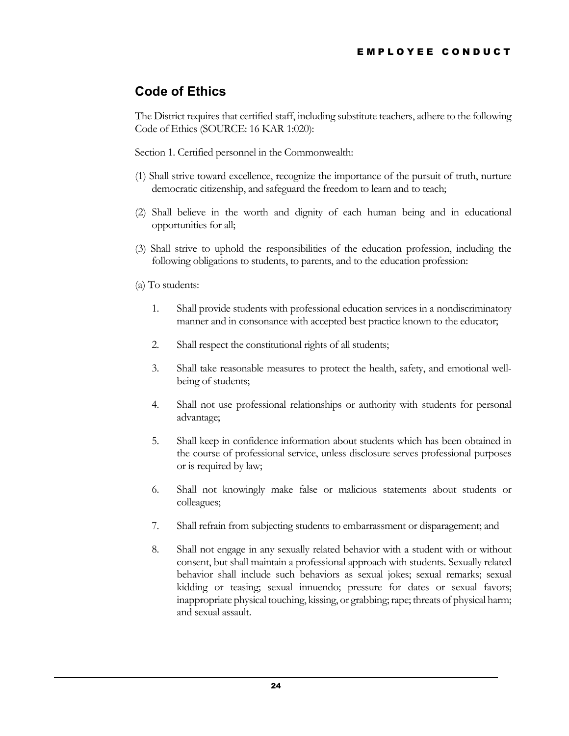## <span id="page-27-0"></span>**Code of Ethics**

The District requires that certified staff, including substitute teachers, adhere to the following Code of Ethics (SOURCE: 16 KAR 1:020):

Section 1. Certified personnel in the Commonwealth:

- (1) Shall strive toward excellence, recognize the importance of the pursuit of truth, nurture democratic citizenship, and safeguard the freedom to learn and to teach;
- (2) Shall believe in the worth and dignity of each human being and in educational opportunities for all;
- (3) Shall strive to uphold the responsibilities of the education profession, including the following obligations to students, to parents, and to the education profession:
- (a) To students:
	- 1. Shall provide students with professional education services in a nondiscriminatory manner and in consonance with accepted best practice known to the educator;
	- 2. Shall respect the constitutional rights of all students;
	- 3. Shall take reasonable measures to protect the health, safety, and emotional wellbeing of students;
	- 4. Shall not use professional relationships or authority with students for personal advantage;
	- 5. Shall keep in confidence information about students which has been obtained in the course of professional service, unless disclosure serves professional purposes or is required by law;
	- 6. Shall not knowingly make false or malicious statements about students or colleagues;
	- 7. Shall refrain from subjecting students to embarrassment or disparagement; and
	- 8. Shall not engage in any sexually related behavior with a student with or without consent, but shall maintain a professional approach with students. Sexually related behavior shall include such behaviors as sexual jokes; sexual remarks; sexual kidding or teasing; sexual innuendo; pressure for dates or sexual favors; inappropriate physical touching, kissing, or grabbing; rape; threats of physical harm; and sexual assault.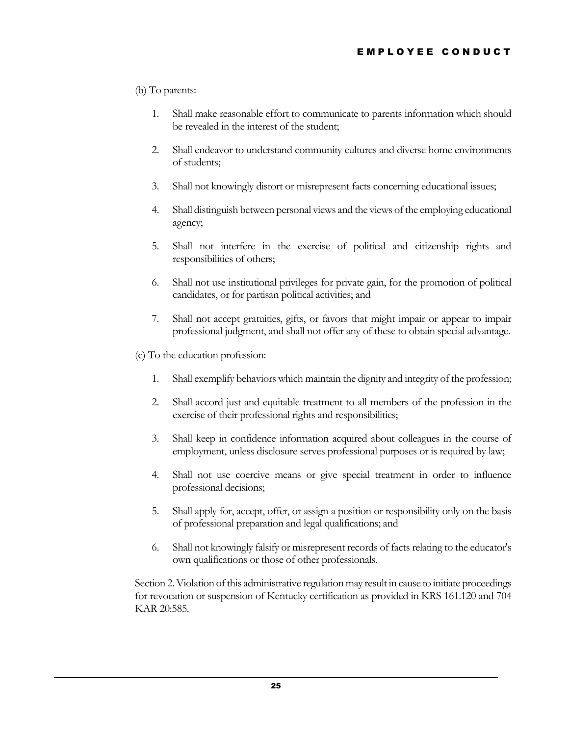#### (b) To parents:

- 1. Shall make reasonable effort to communicate to parents information which should be revealed in the interest of the student;
- 2. Shall endeavor to understand community cultures and diverse home environments of students;
- 3. Shall not knowingly distort or misrepresent facts concerning educational issues;
- 4. Shall distinguish between personal views and the views of the employing educational agency;
- 5. Shall not interfere in the exercise of political and citizenship rights and responsibilities of others;
- 6. Shall not use institutional privileges for private gain, for the promotion of political candidates, or for partisan political activities; and
- 7. Shall not accept gratuities, gifts, or favors that might impair or appear to impair professional judgment, and shall not offer any of these to obtain special advantage.
- (c) To the education profession:
	- 1. Shall exemplify behaviors which maintain the dignity and integrity of the profession;
	- 2. Shall accord just and equitable treatment to all members of the profession in the exercise of their professional rights and responsibilities;
	- 3. Shall keep in confidence information acquired about colleagues in the course of employment, unless disclosure serves professional purposes or is required by law;
	- 4. Shall not use coercive means or give special treatment in order to influence professional decisions;
	- 5. Shall apply for, accept, offer, or assign a position or responsibility only on the basis of professional preparation and legal qualifications; and
	- 6. Shall not knowingly falsify or misrepresent records of facts relating to the educator's own qualifications or those of other professionals.

Section 2. Violation of this administrative regulation may result in cause to initiate proceedings for revocation or suspension of Kentucky certification as provided in KRS 161.120 and 704 KAR 20:585.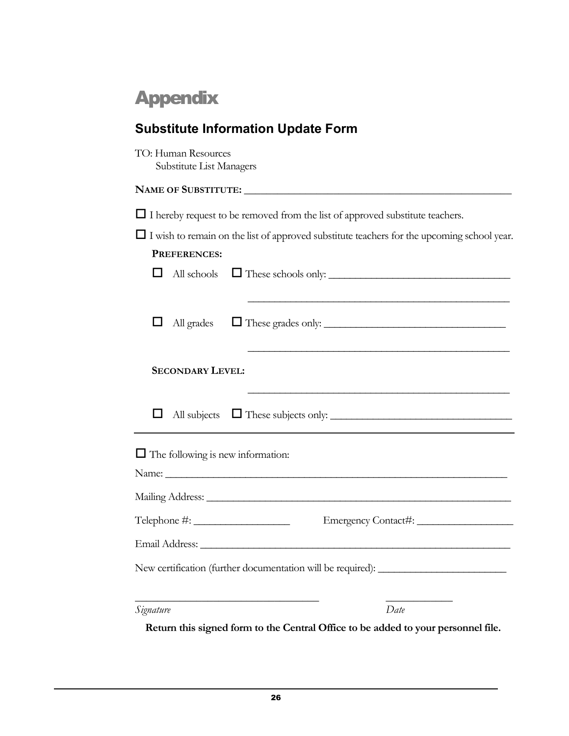# <span id="page-29-0"></span>Appendix

<span id="page-29-1"></span>

| <b>Substitute Information Update Form</b>                                                         |
|---------------------------------------------------------------------------------------------------|
| TO: Human Resources<br>Substitute List Managers                                                   |
|                                                                                                   |
| $\Box$ I hereby request to be removed from the list of approved substitute teachers.              |
| $\Box$ I wish to remain on the list of approved substitute teachers for the upcoming school year. |
| PREFERENCES:                                                                                      |
| All schools $\Box$ These schools only: $\Box$                                                     |
|                                                                                                   |
| ப<br>All grades<br>These grades only:                                                             |
|                                                                                                   |
| <u> 1989 - Johann Barbara, margaret eta idazlearia (h. 1989).</u>                                 |
| <b>SECONDARY LEVEL:</b>                                                                           |
| All subjects $\Box$ These subjects only: $\Box$                                                   |
|                                                                                                   |
| $\Box$ The following is new information:                                                          |
|                                                                                                   |
|                                                                                                   |
|                                                                                                   |
| Email Address:                                                                                    |
|                                                                                                   |
| New certification (further documentation will be required): _______                               |
|                                                                                                   |
| Date<br>Signature                                                                                 |

**Return this signed form to the Central Office to be added to your personnel file.**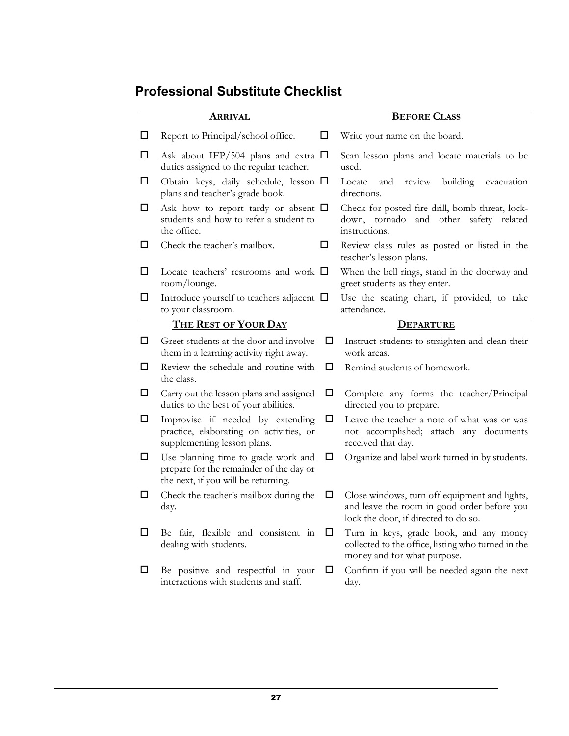## <span id="page-30-0"></span>**Professional Substitute Checklist**

|        | <u>Arrival</u>                                                                                                        |        | <b>BEFORE CLASS</b>                                                                                                                  |
|--------|-----------------------------------------------------------------------------------------------------------------------|--------|--------------------------------------------------------------------------------------------------------------------------------------|
| $\Box$ | Report to Principal/school office.                                                                                    | ш      | Write your name on the board.                                                                                                        |
| $\Box$ | Ask about IEP/504 plans and extra $\square$<br>duties assigned to the regular teacher.                                |        | Scan lesson plans and locate materials to be<br>used.                                                                                |
| $\Box$ | Obtain keys, daily schedule, lesson $\Box$<br>plans and teacher's grade book.                                         |        | building<br>Locate<br>and<br>review<br>evacuation<br>directions.                                                                     |
| $\Box$ | Ask how to report tardy or absent $\Box$<br>students and how to refer a student to<br>the office.                     |        | Check for posted fire drill, bomb threat, lock-<br>down, tornado and other safety related<br>instructions.                           |
| $\Box$ | Check the teacher's mailbox.                                                                                          | □      | Review class rules as posted or listed in the<br>teacher's lesson plans.                                                             |
| $\Box$ | Locate teachers' restrooms and work $\Box$<br>room/lounge.                                                            |        | When the bell rings, stand in the doorway and<br>greet students as they enter.                                                       |
| $\Box$ | Introduce yourself to teachers adjacent $\Box$<br>to your classroom.                                                  |        | Use the seating chart, if provided, to take<br>attendance.                                                                           |
|        | THE REST OF YOUR DAY                                                                                                  |        | <b>DEPARTURE</b>                                                                                                                     |
| $\Box$ | Greet students at the door and involve<br>them in a learning activity right away.                                     | □      | Instruct students to straighten and clean their<br>work areas.                                                                       |
| □      | Review the schedule and routine with<br>the class.                                                                    | □      | Remind students of homework.                                                                                                         |
| $\Box$ | Carry out the lesson plans and assigned<br>duties to the best of your abilities.                                      | □      | Complete any forms the teacher/Principal<br>directed you to prepare.                                                                 |
| $\Box$ | Improvise if needed by extending<br>practice, elaborating on activities, or<br>supplementing lesson plans.            | □      | Leave the teacher a note of what was or was<br>not accomplished; attach any documents<br>received that day.                          |
| $\Box$ | Use planning time to grade work and<br>prepare for the remainder of the day or<br>the next, if you will be returning. | □      | Organize and label work turned in by students.                                                                                       |
| $\Box$ | Check the teacher's mailbox during the<br>day.                                                                        | □      | Close windows, turn off equipment and lights,<br>and leave the room in good order before you<br>lock the door, if directed to do so. |
| $\Box$ | Be fair, flexible and consistent in<br>dealing with students.                                                         | $\Box$ | Turn in keys, grade book, and any money<br>collected to the office, listing who turned in the<br>money and for what purpose.         |
| $\Box$ | Be positive and respectful in your<br>interactions with students and staff.                                           | $\Box$ | Confirm if you will be needed again the next<br>day.                                                                                 |